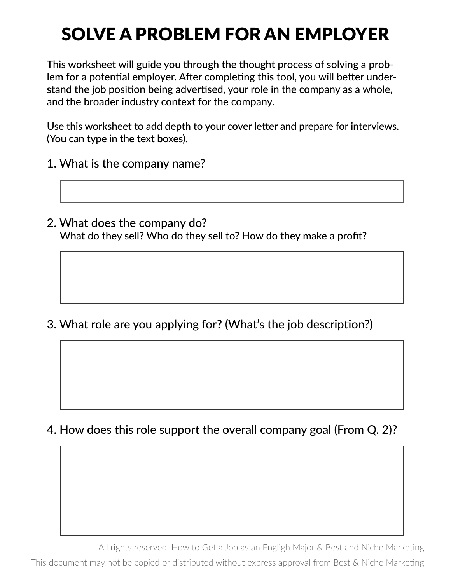## SOLVE A PROBLEM FOR AN EMPLOYER

This worksheet will guide you through the thought process of solving a problem for a potential employer. After completing this tool, you will better understand the job position being advertised, your role in the company as a whole, and the broader industry context for the company.

Use this worksheet to add depth to your cover letter and prepare for interviews. (You can type in the text boxes).

- 1. What is the company name?
- 2. What does the company do? What do they sell? Who do they sell to? How do they make a profit?

3. What role are you applying for? (What's the job description?)

4. How does this role support the overall company goal (From Q. 2)?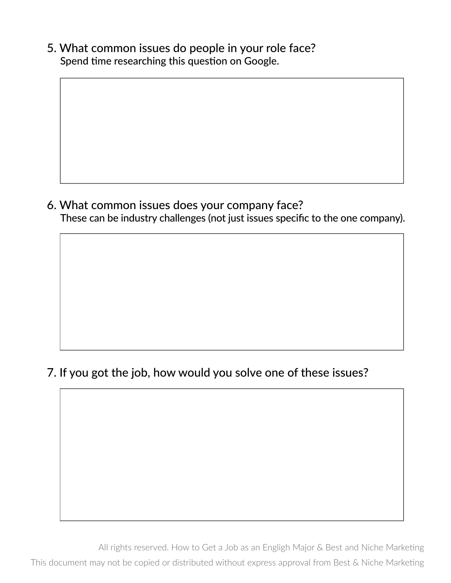5. What common issues do people in your role face? Spend time researching this question on Google.

6. What common issues does your company face? These can be industry challenges (not just issues specific to the one company).

7. If you got the job, how would you solve one of these issues?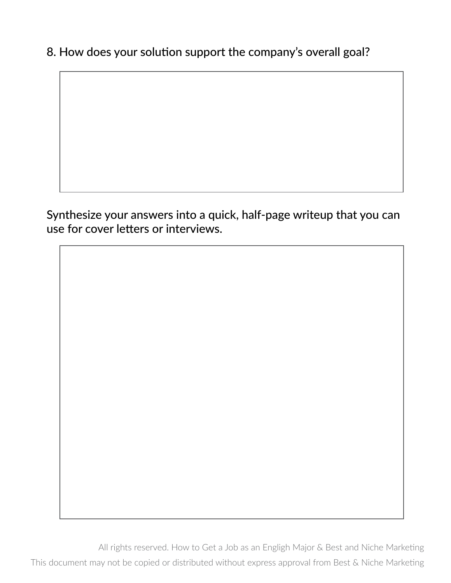8. How does your solution support the company's overall goal?

Synthesize your answers into a quick, half-page writeup that you can use for cover letters or interviews.